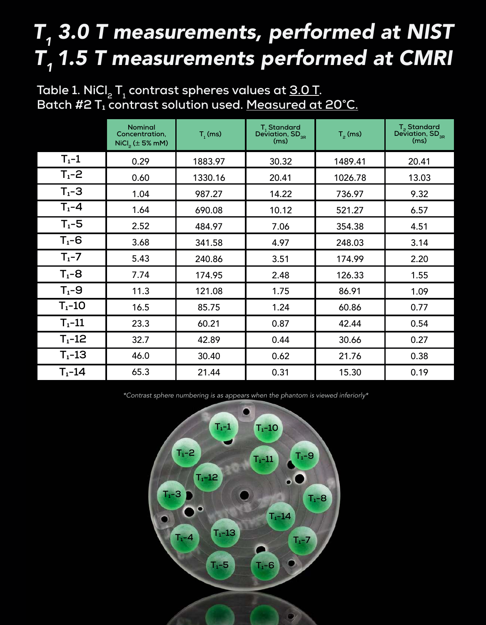# $T_{_1}$  3.0 T measurements, performed at NIST T, 1.5 T measurements performed at CMRI

|            | <b>Nominal</b><br>Concentration.<br>$\text{NiCl}_2$ ( $\pm$ 5% mM) | T, (ms) | T, Standard<br>Deviation, $SD_{_{3R}}$<br>(ms) | $T_p$ (ms) | $T_{2}$ Standard<br>Deviation, SD <sub>3R</sub><br>(ms) |
|------------|--------------------------------------------------------------------|---------|------------------------------------------------|------------|---------------------------------------------------------|
| $T_1-1$    | 0.29                                                               | 1883.97 | 30.32                                          | 1489.41    | 20.41                                                   |
| $T_1 - 2$  | 0.60                                                               | 1330.16 | 20.41                                          | 1026.78    | 13.03                                                   |
| $T_1 - 3$  | 1.04                                                               | 987.27  | 14.22                                          | 736.97     | 9.32                                                    |
| $T_1 - 4$  | 1.64                                                               | 690.08  | 10.12                                          | 521.27     | 6.57                                                    |
| $T_1 - 5$  | 2.52                                                               | 484.97  | 7.06                                           | 354.38     | 4.51                                                    |
| $T_1 - 6$  | 3.68                                                               | 341.58  | 4.97                                           | 248.03     | 3.14                                                    |
| $T_1 - 7$  | 5.43                                                               | 240.86  | 3.51                                           | 174.99     | 2.20                                                    |
| $T_1 - 8$  | 7.74                                                               | 174.95  | 2.48                                           | 126.33     | 1.55                                                    |
| $T_1 - 9$  | 11.3                                                               | 121.08  | 1.75                                           | 86.91      | 1.09                                                    |
| $T_1 - 10$ | 16.5                                                               | 85.75   | 1.24                                           | 60.86      | 0.77                                                    |
| $T_1 - 11$ | 23.3                                                               | 60.21   | 0.87                                           | 42.44      | 0.54                                                    |
| $T_1 - 12$ | 32.7                                                               | 42.89   | 0.44                                           | 30.66      | 0.27                                                    |
| $T_1 - 13$ | 46.0                                                               | 30.40   | 0.62                                           | 21.76      | 0.38                                                    |
| $T_1 - 14$ | 65.3                                                               | 21.44   | 0.31                                           | 15.30      | 0.19                                                    |

**Table 1. NiCl<sup>2</sup> T1 contrast spheres values at 3.0 T. Batch #2 T₁ contrast solution used. Measured at 20°C.**

\*Contrast sphere numbering is as appears when the phantom is viewed inferiorly\*

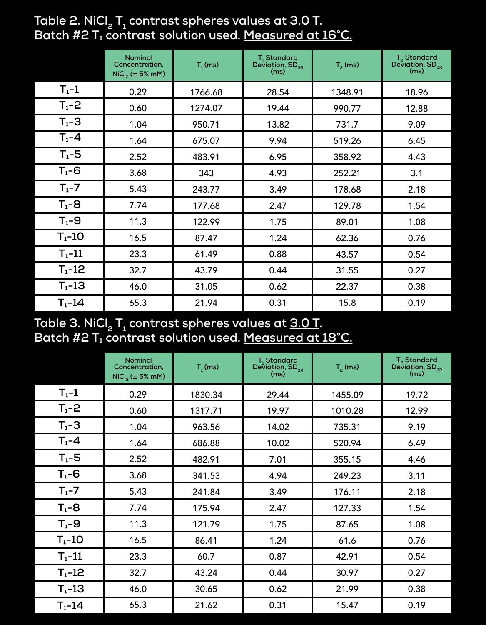|              | <b>Nominal</b><br>Concentration,<br>$\text{NiCl}_2$ ( $\pm$ 5% mM) | $T1$ (ms) | T <sub>1</sub> Standard<br>Deviation, SD <sub>3R</sub><br>(ms) | $T_p$ (ms) | $T_{2}$ Standard<br>Deviation, SD <sub>3R</sub><br>(ms) |
|--------------|--------------------------------------------------------------------|-----------|----------------------------------------------------------------|------------|---------------------------------------------------------|
| $T_1-1$      | 0.29                                                               | 1766.68   | 28.54                                                          | 1348.91    | 18.96                                                   |
| $T_1 - 2$    | 0.60                                                               | 1274.07   | 19.44                                                          | 990.77     | 12.88                                                   |
| $T_1 - 3$    | 1.04                                                               | 950.71    | 13.82                                                          | 731.7      | 9.09                                                    |
| $T_1 - 4$    | 1.64                                                               | 675.07    | 9.94                                                           | 519.26     | 6.45                                                    |
| $T_1 - 5$    | 2.52                                                               | 483.91    | 6.95                                                           | 358.92     | 4.43                                                    |
| $T_1 - 6$    | 3.68                                                               | 343       | 4.93                                                           | 252.21     | 3.1                                                     |
| $T_1 - 7$    | 5.43                                                               | 243.77    | 3.49                                                           | 178.68     | 2.18                                                    |
| $T_1 - 8$    | 7.74                                                               | 177.68    | 2.47                                                           | 129.78     | 1.54                                                    |
| $T_1 - 9$    | 11.3                                                               | 122.99    | 1.75                                                           | 89.01      | 1.08                                                    |
| $T_1 - 10$   | 16.5                                                               | 87.47     | 1.24                                                           | 62.36      | 0.76                                                    |
| $T_1 - 11$   | 23.3                                                               | 61.49     | 0.88                                                           | 43.57      | 0.54                                                    |
| $T_{1} - 12$ | 32.7                                                               | 43.79     | 0.44                                                           | 31.55      | 0.27                                                    |
| $T_1 - 13$   | 46.0                                                               | 31.05     | 0.62                                                           | 22.37      | 0.38                                                    |
| $T_1 - 14$   | 65.3                                                               | 21.94     | 0.31                                                           | 15.8       | 0.19                                                    |

#### **Table 2. NiCl<sup>2</sup> T1 contrast spheres values at 3.0 T. Batch #2 T₁ contrast solution used. Measured at 16°C.**

## **Table 3. NiCl<sup>2</sup> T1 contrast spheres values at 3.0 T. Batch #2 T₁ contrast solution used. Measured at 18°C.**

|              | <b>Nominal</b><br>Concentration,<br>$NiCl2$ ( $\pm$ 5% mM) | $T1$ (ms) | T <sub>1</sub> Standard<br>Deviation, $SD_{_{3R}}$<br>(ms) | $T2$ (ms) | T <sub>2</sub> Standard<br>Deviation, SD <sub>3R</sub><br>(ms) |
|--------------|------------------------------------------------------------|-----------|------------------------------------------------------------|-----------|----------------------------------------------------------------|
| $T_1-1$      | 0.29                                                       | 1830.34   | 29.44                                                      | 1455.09   | 19.72                                                          |
| $T_{1} - 2$  | 0.60                                                       | 1317.71   | 19.97                                                      | 1010.28   | 12.99                                                          |
| $T_1 - 3$    | 1.04                                                       | 963.56    | 14.02                                                      | 735.31    | 9.19                                                           |
| $T_1 - 4$    | 1.64                                                       | 686.88    | 10.02                                                      | 520.94    | 6.49                                                           |
| $T_1 - 5$    | 2.52                                                       | 482.91    | 7.01                                                       | 355.15    | 4.46                                                           |
| $T_1 - 6$    | 3.68                                                       | 341.53    | 4.94                                                       | 249.23    | 3.11                                                           |
| $T_1 - 7$    | 5.43                                                       | 241.84    | 3.49                                                       | 176.11    | 2.18                                                           |
| $T_1 - 8$    | 7.74                                                       | 175.94    | 2.47                                                       | 127.33    | 1.54                                                           |
| $T_1 - 9$    | 11.3                                                       | 121.79    | 1.75                                                       | 87.65     | 1.08                                                           |
| $T_1 - 10$   | 16.5                                                       | 86.41     | 1.24                                                       | 61.6      | 0.76                                                           |
| $T_1 - 11$   | 23.3                                                       | 60.7      | 0.87                                                       | 42.91     | 0.54                                                           |
| $T_{1} - 12$ | 32.7                                                       | 43.24     | 0.44                                                       | 30.97     | 0.27                                                           |
| $T_1 - 13$   | 46.0                                                       | 30.65     | 0.62                                                       | 21.99     | 0.38                                                           |
| $T_1 - 14$   | 65.3                                                       | 21.62     | 0.31                                                       | 15.47     | 0.19                                                           |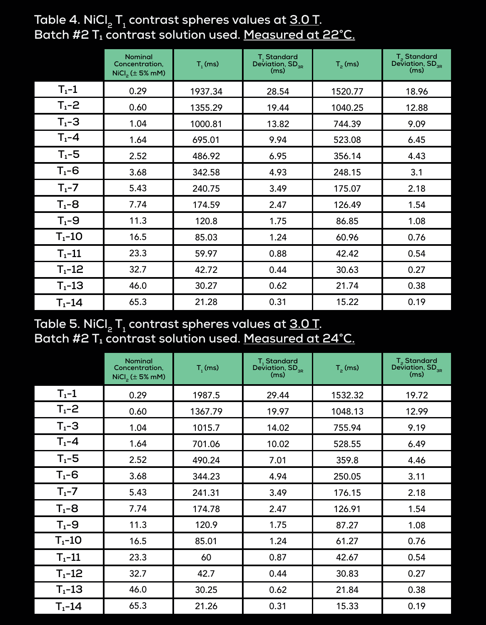|            | <b>Nominal</b><br>Concentration,<br>$NiCl2$ ( $\pm$ 5% mM) | T, (ms) | T <sub>1</sub> Standard<br>Deviation, $SD_{_{3R}}$<br>(ms) | $T_p$ (ms) | $T_{\rm p}$ Standard<br>Deviation, SD <sub>3R</sub><br>(ms) |
|------------|------------------------------------------------------------|---------|------------------------------------------------------------|------------|-------------------------------------------------------------|
| $T_1-1$    | 0.29                                                       | 1937.34 | 28.54                                                      | 1520.77    | 18.96                                                       |
| $T_1 - 2$  | 0.60                                                       | 1355.29 | 19.44                                                      | 1040.25    | 12.88                                                       |
| $T_1 - 3$  | 1.04                                                       | 1000.81 | 13.82                                                      | 744.39     | 9.09                                                        |
| $T_1 - 4$  | 1.64                                                       | 695.01  | 9.94                                                       | 523.08     | 6.45                                                        |
| $T_1 - 5$  | 2.52                                                       | 486.92  | 6.95                                                       | 356.14     | 4.43                                                        |
| $T_1 - 6$  | 3.68                                                       | 342.58  | 4.93                                                       | 248.15     | 3.1                                                         |
| $T_1 - 7$  | 5.43                                                       | 240.75  | 3.49                                                       | 175.07     | 2.18                                                        |
| $T_1 - 8$  | 7.74                                                       | 174.59  | 2.47                                                       | 126.49     | 1.54                                                        |
| $T_1 - 9$  | 11.3                                                       | 120.8   | 1.75                                                       | 86.85      | 1.08                                                        |
| $T_1 - 10$ | 16.5                                                       | 85.03   | 1.24                                                       | 60.96      | 0.76                                                        |
| $T_1 - 11$ | 23.3                                                       | 59.97   | 0.88                                                       | 42.42      | 0.54                                                        |
| $T_1 - 12$ | 32.7                                                       | 42.72   | 0.44                                                       | 30.63      | 0.27                                                        |
| $T_1 - 13$ | 46.0                                                       | 30.27   | 0.62                                                       | 21.74      | 0.38                                                        |
| $T_1 - 14$ | 65.3                                                       | 21.28   | 0.31                                                       | 15.22      | 0.19                                                        |

**Table 4. NiCl<sup>2</sup> T1 contrast spheres values at 3.0 T. Batch #2 T₁ contrast solution used. Measured at 22°C.**

#### **Table 5. NiCl<sup>2</sup> T1 contrast spheres values at 3.0 T. Batch #2 T₁ contrast solution used. Measured at 24°C.**

|             | <b>Nominal</b><br>Concentration,<br>$NiCl2$ ( $\pm$ 5% mM) | $T_1$ (ms) | $T_{1}$ Standard<br>Deviation, SD <sub>3R</sub><br>(ms) | $T2$ (ms) | T <sub>2</sub> Standard<br>Deviation, SD <sub>3R</sub><br>(ms) |
|-------------|------------------------------------------------------------|------------|---------------------------------------------------------|-----------|----------------------------------------------------------------|
| $T_1-1$     | 0.29                                                       | 1987.5     | 29.44                                                   | 1532.32   | 19.72                                                          |
| $T_{1} - 2$ | 0.60                                                       | 1367.79    | 19.97                                                   | 1048.13   | 12.99                                                          |
| $T_1 - 3$   | 1.04                                                       | 1015.7     | 14.02                                                   | 755.94    | 9.19                                                           |
| $T1-4$      | 1.64                                                       | 701.06     | 10.02                                                   | 528.55    | 6.49                                                           |
| $T_1 - 5$   | 2.52                                                       | 490.24     | 7.01                                                    | 359.8     | 4.46                                                           |
| $T_1 - 6$   | 3.68                                                       | 344.23     | 4.94                                                    | 250.05    | 3.11                                                           |
| $T_1 - 7$   | 5.43                                                       | 241.31     | 3.49                                                    | 176.15    | 2.18                                                           |
| $T_1 - 8$   | 7.74                                                       | 174.78     | 2.47                                                    | 126.91    | 1.54                                                           |
| $T_1 - 9$   | 11.3                                                       | 120.9      | 1.75                                                    | 87.27     | 1.08                                                           |
| $T_1 - 10$  | 16.5                                                       | 85.01      | 1.24                                                    | 61.27     | 0.76                                                           |
| $T_1 - 11$  | 23.3                                                       | 60         | 0.87                                                    | 42.67     | 0.54                                                           |
| $T_1 - 12$  | 32.7                                                       | 42.7       | 0.44                                                    | 30.83     | 0.27                                                           |
| $T_1 - 13$  | 46.0                                                       | 30.25      | 0.62                                                    | 21.84     | 0.38                                                           |
| $T_1 - 14$  | 65.3                                                       | 21.26      | 0.31                                                    | 15.33     | 0.19                                                           |